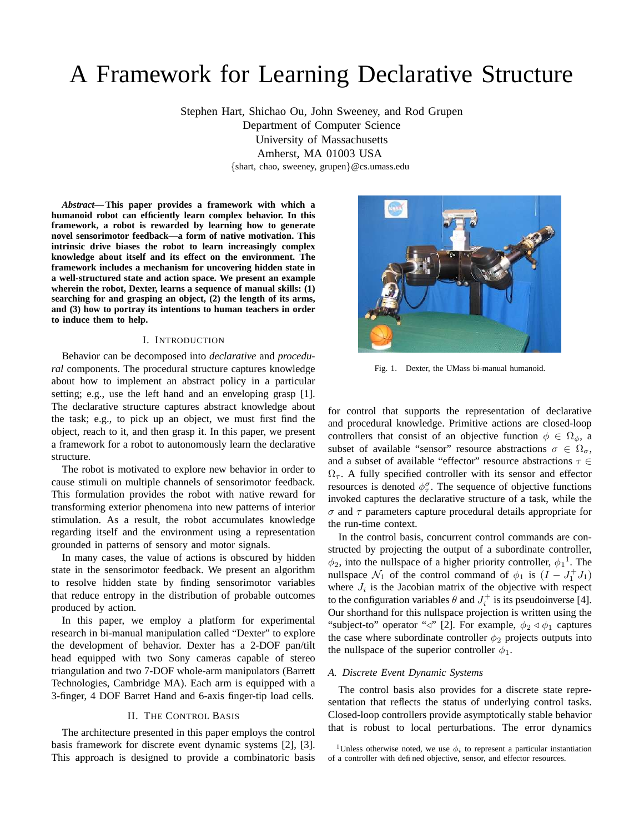# A Framework for Learning Declarative Structure

Stephen Hart, Shichao Ou, John Sweeney, and Rod Grupen Department of Computer Science University of Massachusetts Amherst, MA 01003 USA {shart, chao, sweeney, grupen}@cs.umass.edu

*Abstract***—This paper provides a framework with which a humanoid robot can efficiently learn complex behavior. In this framework, a robot is rewarded by learning how to generate novel sensorimotor feedback—a form of native motivation. This intrinsic drive biases the robot to learn increasingly complex knowledge about itself and its effect on the environment. The framework includes a mechanism for uncovering hidden state in a well-structured state and action space. We present an example wherein the robot, Dexter, learns a sequence of manual skills: (1) searching for and grasping an object, (2) the length of its arms, and (3) how to portray its intentions to human teachers in order to induce them to help.**

# I. INTRODUCTION

Behavior can be decomposed into *declarative* and *procedural* components. The procedural structure captures knowledge about how to implement an abstract policy in a particular setting; e.g., use the left hand and an enveloping grasp [1]. The declarative structure captures abstract knowledge about the task; e.g., to pick up an object, we must first find the object, reach to it, and then grasp it. In this paper, we present a framework for a robot to autonomously learn the declarative structure.

The robot is motivated to explore new behavior in order to cause stimuli on multiple channels of sensorimotor feedback. This formulation provides the robot with native reward for transforming exterior phenomena into new patterns of interior stimulation. As a result, the robot accumulates knowledge regarding itself and the environment using a representation grounded in patterns of sensory and motor signals.

In many cases, the value of actions is obscured by hidden state in the sensorimotor feedback. We present an algorithm to resolve hidden state by finding sensorimotor variables that reduce entropy in the distribution of probable outcomes produced by action.

In this paper, we employ a platform for experimental research in bi-manual manipulation called "Dexter" to explore the development of behavior. Dexter has a 2-DOF pan/tilt head equipped with two Sony cameras capable of stereo triangulation and two 7-DOF whole-arm manipulators (Barrett Technologies, Cambridge MA). Each arm is equipped with a 3-finger, 4 DOF Barret Hand and 6-axis finger-tip load cells.

## II. THE CONTROL BASIS

The architecture presented in this paper employs the control basis framework for discrete event dynamic systems [2], [3]. This approach is designed to provide a combinatoric basis



Fig. 1. Dexter, the UMass bi-manual humanoid.

for control that supports the representation of declarative and procedural knowledge. Primitive actions are closed-loop controllers that consist of an objective function  $\phi \in \Omega_{\phi}$ , a subset of available "sensor" resource abstractions  $\sigma \in \Omega_{\sigma}$ , and a subset of available "effector" resource abstractions  $\tau \in$  $\Omega_{\tau}$ . A fully specified controller with its sensor and effector resources is denoted  $\phi_{\tau}^{\sigma}$ . The sequence of objective functions invoked captures the declarative structure of a task, while the  $\sigma$  and  $\tau$  parameters capture procedural details appropriate for the run-time context.

In the control basis, concurrent control commands are constructed by projecting the output of a subordinate controller,  $\phi_2$ , into the nullspace of a higher priority controller,  $\phi_1$ <sup>1</sup>. The nullspace  $\mathcal{N}_1$  of the control command of  $\phi_1$  is  $(I - J_1^+ J_1)$ where  $J_i$  is the Jacobian matrix of the objective with respect to the configuration variables  $\theta$  and  $J_i^+$  is its pseudoinverse [4]. Our shorthand for this nullspace projection is written using the "subject-to" operator " $\triangleleft$ " [2]. For example,  $\phi_2 \triangleleft \phi_1$  captures the case where subordinate controller  $\phi_2$  projects outputs into the nullspace of the superior controller  $\phi_1$ .

# *A. Discrete Event Dynamic Systems*

The control basis also provides for a discrete state representation that reflects the status of underlying control tasks. Closed-loop controllers provide asymptotically stable behavior that is robust to local perturbations. The error dynamics

<sup>&</sup>lt;sup>1</sup>Unless otherwise noted, we use  $\phi_i$  to represent a particular instantiation of a controller with defined objective, sensor, and effector resources.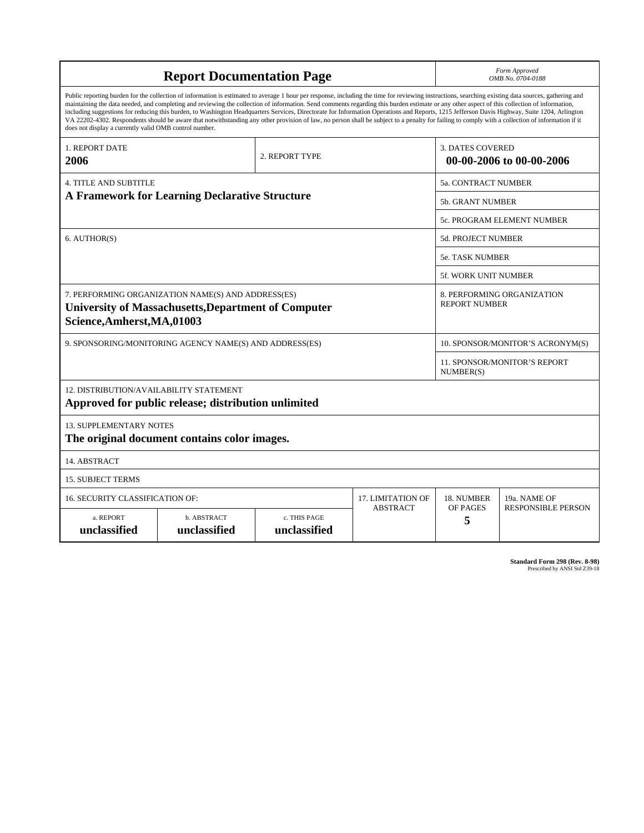| <b>Report Documentation Page</b>                                                                                                                                                                                                                                                                                                                                                                                                                                                                                                                                                                                                                                                                                                                                                                                                                                   |                             |                              |                 | Form Approved<br>OMB No. 0704-0188                  |                           |
|--------------------------------------------------------------------------------------------------------------------------------------------------------------------------------------------------------------------------------------------------------------------------------------------------------------------------------------------------------------------------------------------------------------------------------------------------------------------------------------------------------------------------------------------------------------------------------------------------------------------------------------------------------------------------------------------------------------------------------------------------------------------------------------------------------------------------------------------------------------------|-----------------------------|------------------------------|-----------------|-----------------------------------------------------|---------------------------|
| Public reporting burden for the collection of information is estimated to average 1 hour per response, including the time for reviewing instructions, searching existing data sources, gathering and<br>maintaining the data needed, and completing and reviewing the collection of information. Send comments regarding this burden estimate or any other aspect of this collection of information,<br>including suggestions for reducing this burden, to Washington Headquarters Services, Directorate for Information Operations and Reports, 1215 Jefferson Davis Highway, Suite 1204, Arlington<br>VA 22202-4302. Respondents should be aware that notwithstanding any other provision of law, no person shall be subject to a penalty for failing to comply with a collection of information if it<br>does not display a currently valid OMB control number. |                             |                              |                 |                                                     |                           |
| 1. REPORT DATE<br>2006                                                                                                                                                                                                                                                                                                                                                                                                                                                                                                                                                                                                                                                                                                                                                                                                                                             | 2. REPORT TYPE              |                              |                 | <b>3. DATES COVERED</b><br>00-00-2006 to 00-00-2006 |                           |
| <b>4. TITLE AND SUBTITLE</b>                                                                                                                                                                                                                                                                                                                                                                                                                                                                                                                                                                                                                                                                                                                                                                                                                                       |                             |                              |                 | 5a. CONTRACT NUMBER                                 |                           |
| <b>A Framework for Learning Declarative Structure</b>                                                                                                                                                                                                                                                                                                                                                                                                                                                                                                                                                                                                                                                                                                                                                                                                              |                             |                              |                 | 5b. GRANT NUMBER                                    |                           |
|                                                                                                                                                                                                                                                                                                                                                                                                                                                                                                                                                                                                                                                                                                                                                                                                                                                                    |                             |                              |                 | 5c. PROGRAM ELEMENT NUMBER                          |                           |
| 6. AUTHOR(S)                                                                                                                                                                                                                                                                                                                                                                                                                                                                                                                                                                                                                                                                                                                                                                                                                                                       |                             |                              |                 | <b>5d. PROJECT NUMBER</b>                           |                           |
|                                                                                                                                                                                                                                                                                                                                                                                                                                                                                                                                                                                                                                                                                                                                                                                                                                                                    |                             |                              |                 | 5e. TASK NUMBER                                     |                           |
|                                                                                                                                                                                                                                                                                                                                                                                                                                                                                                                                                                                                                                                                                                                                                                                                                                                                    |                             |                              |                 | 5f. WORK UNIT NUMBER                                |                           |
| 7. PERFORMING ORGANIZATION NAME(S) AND ADDRESS(ES)<br><b>University of Massachusetts, Department of Computer</b><br>Science, Amherst, MA, 01003                                                                                                                                                                                                                                                                                                                                                                                                                                                                                                                                                                                                                                                                                                                    |                             |                              |                 | 8. PERFORMING ORGANIZATION<br><b>REPORT NUMBER</b>  |                           |
| 9. SPONSORING/MONITORING AGENCY NAME(S) AND ADDRESS(ES)                                                                                                                                                                                                                                                                                                                                                                                                                                                                                                                                                                                                                                                                                                                                                                                                            |                             |                              |                 | 10. SPONSOR/MONITOR'S ACRONYM(S)                    |                           |
|                                                                                                                                                                                                                                                                                                                                                                                                                                                                                                                                                                                                                                                                                                                                                                                                                                                                    |                             |                              |                 | 11. SPONSOR/MONITOR'S REPORT<br>NUMBER(S)           |                           |
| 12. DISTRIBUTION/AVAILABILITY STATEMENT<br>Approved for public release; distribution unlimited                                                                                                                                                                                                                                                                                                                                                                                                                                                                                                                                                                                                                                                                                                                                                                     |                             |                              |                 |                                                     |                           |
| <b>13. SUPPLEMENTARY NOTES</b><br>The original document contains color images.                                                                                                                                                                                                                                                                                                                                                                                                                                                                                                                                                                                                                                                                                                                                                                                     |                             |                              |                 |                                                     |                           |
| 14. ABSTRACT                                                                                                                                                                                                                                                                                                                                                                                                                                                                                                                                                                                                                                                                                                                                                                                                                                                       |                             |                              |                 |                                                     |                           |
| <b>15. SUBJECT TERMS</b>                                                                                                                                                                                                                                                                                                                                                                                                                                                                                                                                                                                                                                                                                                                                                                                                                                           |                             |                              |                 |                                                     |                           |
| 16. SECURITY CLASSIFICATION OF:                                                                                                                                                                                                                                                                                                                                                                                                                                                                                                                                                                                                                                                                                                                                                                                                                                    | 17. LIMITATION OF           | 18. NUMBER                   | 19a. NAME OF    |                                                     |                           |
| a. REPORT<br>unclassified                                                                                                                                                                                                                                                                                                                                                                                                                                                                                                                                                                                                                                                                                                                                                                                                                                          | b. ABSTRACT<br>unclassified | c. THIS PAGE<br>unclassified | <b>ABSTRACT</b> | <b>OF PAGES</b><br>5                                | <b>RESPONSIBLE PERSON</b> |

**Standard Form 298 (Rev. 8-98)**<br>Prescribed by ANSI Std Z39-18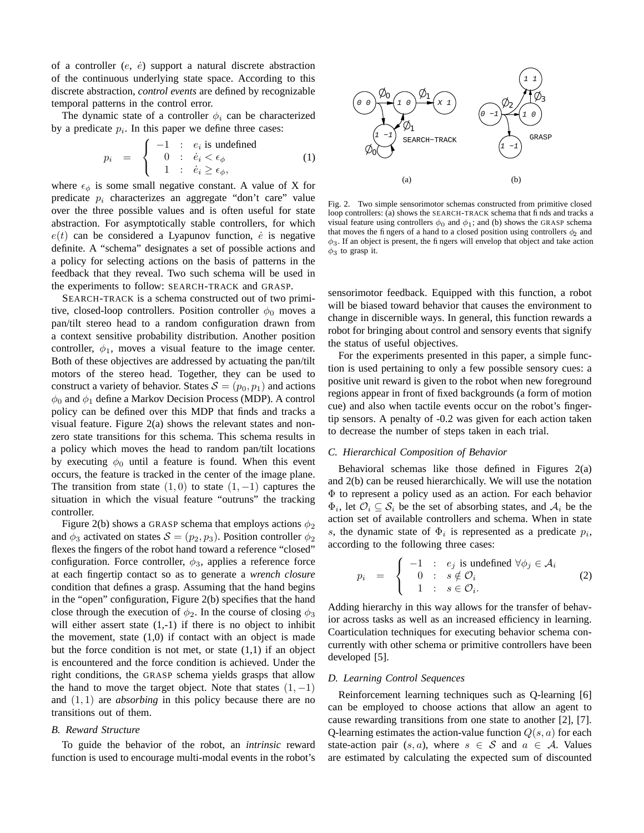of a controller  $(e, \dot{e})$  support a natural discrete abstraction of the continuous underlying state space. According to this discrete abstraction, *control events* are defined by recognizable temporal patterns in the control error.

The dynamic state of a controller  $\phi_i$  can be characterized by a predicate  $p_i$ . In this paper we define three cases:

$$
p_i = \begin{cases} -1 : e_i \text{ is undefined} \\ 0 : \dot{e}_i < \epsilon_\phi \\ 1 : \dot{e}_i \ge \epsilon_\phi, \end{cases} \tag{1}
$$

where  $\epsilon_{\phi}$  is some small negative constant. A value of X for predicate  $p_i$  characterizes an aggregate "don't care" value over the three possible values and is often useful for state abstraction. For asymptotically stable controllers, for which  $e(t)$  can be considered a Lyapunov function,  $\dot{e}$  is negative definite. A "schema" designates a set of possible actions and a policy for selecting actions on the basis of patterns in the feedback that they reveal. Two such schema will be used in the experiments to follow: SEARCH-TRACK and GRASP.

SEARCH-TRACK is a schema constructed out of two primitive, closed-loop controllers. Position controller  $\phi_0$  moves a pan/tilt stereo head to a random configuration drawn from a context sensitive probability distribution. Another position controller,  $\phi_1$ , moves a visual feature to the image center. Both of these objectives are addressed by actuating the pan/tilt motors of the stereo head. Together, they can be used to construct a variety of behavior. States  $S = (p_0, p_1)$  and actions  $\phi_0$  and  $\phi_1$  define a Markov Decision Process (MDP). A control policy can be defined over this MDP that finds and tracks a visual feature. Figure 2(a) shows the relevant states and nonzero state transitions for this schema. This schema results in a policy which moves the head to random pan/tilt locations by executing  $\phi_0$  until a feature is found. When this event occurs, the feature is tracked in the center of the image plane. The transition from state  $(1, 0)$  to state  $(1, -1)$  captures the situation in which the visual feature "outruns" the tracking controller.

Figure 2(b) shows a GRASP schema that employs actions  $\phi_2$ and  $\phi_3$  activated on states  $S = (p_2, p_3)$ . Position controller  $\phi_2$ flexes the fingers of the robot hand toward a reference "closed" configuration. Force controller,  $\phi_3$ , applies a reference force at each fingertip contact so as to generate a *wrench closure* condition that defines a grasp. Assuming that the hand begins in the "open" configuration, Figure 2(b) specifies that the hand close through the execution of  $\phi_2$ . In the course of closing  $\phi_3$ will either assert state  $(1,-1)$  if there is no object to inhibit the movement, state  $(1,0)$  if contact with an object is made but the force condition is not met, or state (1,1) if an object is encountered and the force condition is achieved. Under the right conditions, the GRASP schema yields grasps that allow the hand to move the target object. Note that states  $(1, -1)$ and (1, 1) are *absorbing* in this policy because there are no transitions out of them.

# *B. Reward Structure*

To guide the behavior of the robot, an *intrinsic* reward function is used to encourage multi-modal events in the robot's



Fig. 2. Two simple sensorimotor schemas constructed from primitive closed loop controllers: (a) shows the SEARCH-TRACK schema that finds and tracks a visual feature using controllers  $\phi_0$  and  $\phi_1$ ; and (b) shows the GRASP schema that moves the fingers of a hand to a closed position using controllers  $\phi_2$  and  $\phi_3$ . If an object is present, the fingers will envelop that object and take action  $\phi_3$  to grasp it.

sensorimotor feedback. Equipped with this function, a robot will be biased toward behavior that causes the environment to change in discernible ways. In general, this function rewards a robot for bringing about control and sensory events that signify the status of useful objectives.

For the experiments presented in this paper, a simple function is used pertaining to only a few possible sensory cues: a positive unit reward is given to the robot when new foreground regions appear in front of fixed backgrounds (a form of motion cue) and also when tactile events occur on the robot's fingertip sensors. A penalty of -0.2 was given for each action taken to decrease the number of steps taken in each trial.

# *C. Hierarchical Composition of Behavior*

Behavioral schemas like those defined in Figures 2(a) and 2(b) can be reused hierarchically. We will use the notation Φ to represent a policy used as an action. For each behavior  $\Phi_i$ , let  $\mathcal{O}_i \subseteq \mathcal{S}_i$  be the set of absorbing states, and  $\mathcal{A}_i$  be the action set of available controllers and schema. When in state s, the dynamic state of  $\Phi_i$  is represented as a predicate  $p_i$ , according to the following three cases:

$$
p_i = \begin{cases} -1 : e_j \text{ is undefined } \forall \phi_j \in \mathcal{A}_i \\ 0 : s \notin \mathcal{O}_i \\ 1 : s \in \mathcal{O}_i. \end{cases} \tag{2}
$$

Adding hierarchy in this way allows for the transfer of behavior across tasks as well as an increased efficiency in learning. Coarticulation techniques for executing behavior schema concurrently with other schema or primitive controllers have been developed [5].

# *D. Learning Control Sequences*

Reinforcement learning techniques such as Q-learning [6] can be employed to choose actions that allow an agent to cause rewarding transitions from one state to another [2], [7]. Q-learning estimates the action-value function  $Q(s, a)$  for each state-action pair  $(s, a)$ , where  $s \in S$  and  $a \in A$ . Values are estimated by calculating the expected sum of discounted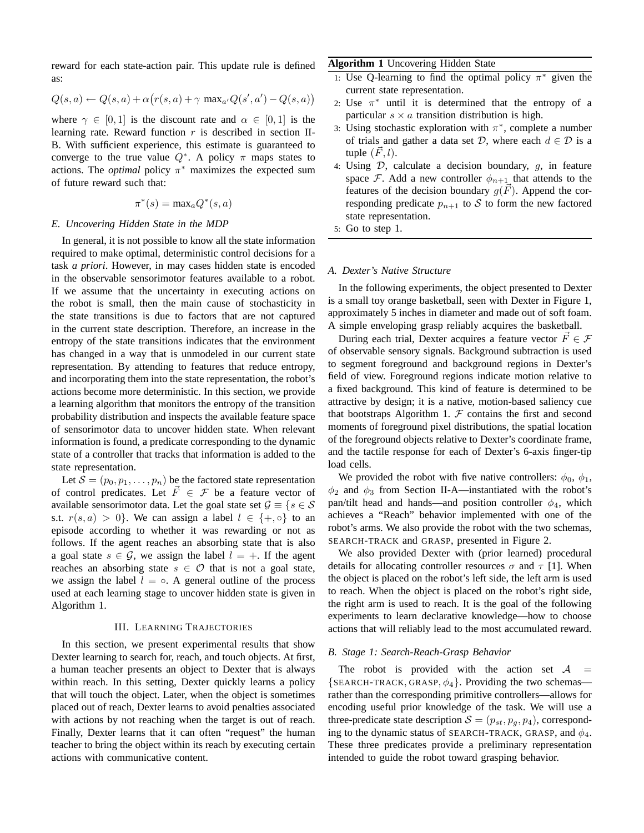reward for each state-action pair. This update rule is defined as:

$$
Q(s,a) \leftarrow Q(s,a) + \alpha \big(r(s,a) + \gamma \text{ max}_{a'}Q(s',a') - Q(s,a)\big)
$$

where  $\gamma \in [0, 1]$  is the discount rate and  $\alpha \in [0, 1]$  is the learning rate. Reward function  $r$  is described in section II-B. With sufficient experience, this estimate is guaranteed to converge to the true value  $Q^*$ . A policy  $\pi$  maps states to actions. The *optimal* policy  $\pi^*$  maximizes the expected sum of future reward such that:

$$
\pi^*(s) = \max_a Q^*(s, a)
$$

## *E. Uncovering Hidden State in the MDP*

In general, it is not possible to know all the state information required to make optimal, deterministic control decisions for a task *a priori*. However, in may cases hidden state is encoded in the observable sensorimotor features available to a robot. If we assume that the uncertainty in executing actions on the robot is small, then the main cause of stochasticity in the state transitions is due to factors that are not captured in the current state description. Therefore, an increase in the entropy of the state transitions indicates that the environment has changed in a way that is unmodeled in our current state representation. By attending to features that reduce entropy, and incorporating them into the state representation, the robot's actions become more deterministic. In this section, we provide a learning algorithm that monitors the entropy of the transition probability distribution and inspects the available feature space of sensorimotor data to uncover hidden state. When relevant information is found, a predicate corresponding to the dynamic state of a controller that tracks that information is added to the state representation.

Let  $S = (p_0, p_1, \ldots, p_n)$  be the factored state representation of control predicates. Let  $\vec{F} \in \mathcal{F}$  be a feature vector of available sensorimotor data. Let the goal state set  $\mathcal{G} \equiv \{s \in \mathcal{S}\}$ s.t.  $r(s, a) > 0$ . We can assign a label  $l \in \{+, \circ\}$  to an episode according to whether it was rewarding or not as follows. If the agent reaches an absorbing state that is also a goal state  $s \in \mathcal{G}$ , we assign the label  $l = +$ . If the agent reaches an absorbing state  $s \in \mathcal{O}$  that is not a goal state, we assign the label  $l = \circ$ . A general outline of the process used at each learning stage to uncover hidden state is given in Algorithm 1.

#### III. LEARNING TRAJECTORIES

In this section, we present experimental results that show Dexter learning to search for, reach, and touch objects. At first, a human teacher presents an object to Dexter that is always within reach. In this setting, Dexter quickly learns a policy that will touch the object. Later, when the object is sometimes placed out of reach, Dexter learns to avoid penalties associated with actions by not reaching when the target is out of reach. Finally, Dexter learns that it can often "request" the human teacher to bring the object within its reach by executing certain actions with communicative content.

# **Algorithm 1** Uncovering Hidden State

- 1: Use Q-learning to find the optimal policy  $\pi^*$  given the current state representation.
- 2: Use  $\pi^*$  until it is determined that the entropy of a particular  $s \times a$  transition distribution is high.
- 3: Using stochastic exploration with  $\pi^*$ , complete a number of trials and gather a data set  $D$ , where each  $d \in D$  is a tuple  $(F, l)$ .
- 4: Using  $D$ , calculate a decision boundary,  $g$ , in feature space F. Add a new controller  $\phi_{n+1}$  that attends to the features of the decision boundary  $g(\vec{F})$ . Append the corresponding predicate  $p_{n+1}$  to S to form the new factored state representation.
- 5: Go to step 1.

# *A. Dexter's Native Structure*

In the following experiments, the object presented to Dexter is a small toy orange basketball, seen with Dexter in Figure 1, approximately 5 inches in diameter and made out of soft foam. A simple enveloping grasp reliably acquires the basketball.

During each trial, Dexter acquires a feature vector  $\vec{F} \in \mathcal{F}$ of observable sensory signals. Background subtraction is used to segment foreground and background regions in Dexter's field of view. Foreground regions indicate motion relative to a fixed background. This kind of feature is determined to be attractive by design; it is a native, motion-based saliency cue that bootstraps Algorithm 1.  $F$  contains the first and second moments of foreground pixel distributions, the spatial location of the foreground objects relative to Dexter's coordinate frame, and the tactile response for each of Dexter's 6-axis finger-tip load cells.

We provided the robot with five native controllers:  $\phi_0$ ,  $\phi_1$ ,  $\phi_2$  and  $\phi_3$  from Section II-A—instantiated with the robot's pan/tilt head and hands—and position controller  $\phi_4$ , which achieves a "Reach" behavior implemented with one of the robot's arms. We also provide the robot with the two schemas, SEARCH-TRACK and GRASP, presented in Figure 2.

We also provided Dexter with (prior learned) procedural details for allocating controller resources  $\sigma$  and  $\tau$  [1]. When the object is placed on the robot's left side, the left arm is used to reach. When the object is placed on the robot's right side, the right arm is used to reach. It is the goal of the following experiments to learn declarative knowledge—how to choose actions that will reliably lead to the most accumulated reward.

# *B. Stage 1: Search-Reach-Grasp Behavior*

The robot is provided with the action set  $A =$  ${SERICH-TRACK, GRASP,  $\phi_4$ }. Providing the two schemas$ rather than the corresponding primitive controllers—allows for encoding useful prior knowledge of the task. We will use a three-predicate state description  $S = (p_{st}, p_q, p_4)$ , corresponding to the dynamic status of SEARCH-TRACK, GRASP, and  $\phi_4$ . These three predicates provide a preliminary representation intended to guide the robot toward grasping behavior.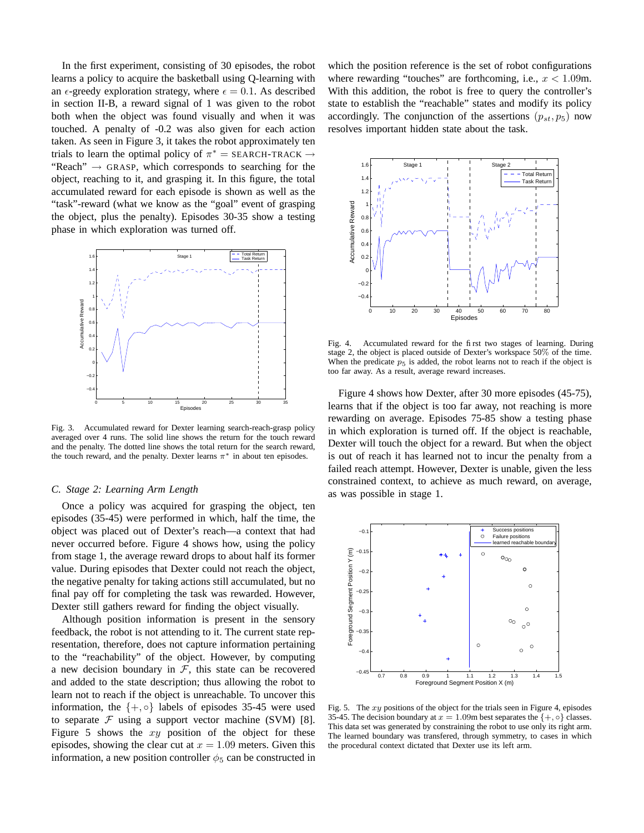In the first experiment, consisting of 30 episodes, the robot learns a policy to acquire the basketball using Q-learning with an  $\epsilon$ -greedy exploration strategy, where  $\epsilon = 0.1$ . As described in section II-B, a reward signal of 1 was given to the robot both when the object was found visually and when it was touched. A penalty of -0.2 was also given for each action taken. As seen in Figure 3, it takes the robot approximately ten trials to learn the optimal policy of  $\pi^* =$  SEARCH-TRACK  $\rightarrow$ "Reach"  $\rightarrow$  GRASP, which corresponds to searching for the object, reaching to it, and grasping it. In this figure, the total accumulated reward for each episode is shown as well as the "task"-reward (what we know as the "goal" event of grasping the object, plus the penalty). Episodes 30-35 show a testing phase in which exploration was turned off.



Fig. 3. Accumulated reward for Dexter learning search-reach-grasp policy averaged over 4 runs. The solid line shows the return for the touch reward and the penalty. The dotted line shows the total return for the search reward, the touch reward, and the penalty. Dexter learns  $\pi^*$  in about ten episodes.

## *C. Stage 2: Learning Arm Length*

Once a policy was acquired for grasping the object, ten episodes (35-45) were performed in which, half the time, the object was placed out of Dexter's reach—a context that had never occurred before. Figure 4 shows how, using the policy from stage 1, the average reward drops to about half its former value. During episodes that Dexter could not reach the object, the negative penalty for taking actions still accumulated, but no final pay off for completing the task was rewarded. However, Dexter still gathers reward for finding the object visually.

Although position information is present in the sensory feedback, the robot is not attending to it. The current state representation, therefore, does not capture information pertaining to the "reachability" of the object. However, by computing a new decision boundary in  $F$ , this state can be recovered and added to the state description; thus allowing the robot to learn not to reach if the object is unreachable. To uncover this information, the  $\{+, \circ\}$  labels of episodes 35-45 were used to separate  $F$  using a support vector machine (SVM) [8]. Figure 5 shows the  $xy$  position of the object for these episodes, showing the clear cut at  $x = 1.09$  meters. Given this information, a new position controller  $\phi_5$  can be constructed in

which the position reference is the set of robot configurations where rewarding "touches" are forthcoming, i.e.,  $x < 1.09$ m. With this addition, the robot is free to query the controller's state to establish the "reachable" states and modify its policy accordingly. The conjunction of the assertions  $(p_{st}, p_5)$  now resolves important hidden state about the task.



Fig. 4. Accumulated reward for the first two stages of learning. During stage 2, the object is placed outside of Dexter's workspace 50% of the time. When the predicate  $p<sub>5</sub>$  is added, the robot learns not to reach if the object is too far away. As a result, average reward increases.

Figure 4 shows how Dexter, after 30 more episodes (45-75), learns that if the object is too far away, not reaching is more rewarding on average. Episodes 75-85 show a testing phase in which exploration is turned off. If the object is reachable, Dexter will touch the object for a reward. But when the object is out of reach it has learned not to incur the penalty from a failed reach attempt. However, Dexter is unable, given the less constrained context, to achieve as much reward, on average, as was possible in stage 1.



Fig. 5. The  $xy$  positions of the object for the trials seen in Figure 4, episodes 35-45. The decision boundary at  $x = 1.09$ m best separates the  $\{+, \circ\}$  classes. This data set was generated by constraining the robot to use only its right arm. The learned boundary was transfered, through symmetry, to cases in which the procedural context dictated that Dexter use its left arm.